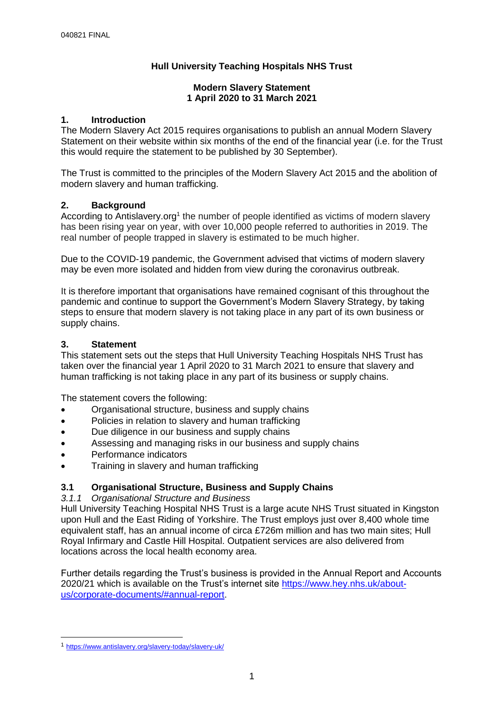# **Hull University Teaching Hospitals NHS Trust**

#### **Modern Slavery Statement 1 April 2020 to 31 March 2021**

### **1. Introduction**

The Modern Slavery Act 2015 requires organisations to publish an annual Modern Slavery Statement on their website within six months of the end of the financial year (i.e. for the Trust this would require the statement to be published by 30 September).

The Trust is committed to the principles of the Modern Slavery Act 2015 and the abolition of modern slavery and human trafficking.

### **2. Background**

According to Antislavery.org<sup>1</sup> the number of people identified as victims of modern slavery has been rising year on year, with over 10,000 people referred to authorities in 2019. The real number of people trapped in slavery is estimated to be much higher.

Due to the COVID-19 pandemic, the Government advised that victims of modern slavery may be even more isolated and hidden from view during the coronavirus outbreak.

It is therefore important that organisations have remained cognisant of this throughout the pandemic and continue to support the Government's Modern Slavery Strategy, by taking steps to ensure that modern slavery is not taking place in any part of its own business or supply chains.

#### **3. Statement**

This statement sets out the steps that Hull University Teaching Hospitals NHS Trust has taken over the financial year 1 April 2020 to 31 March 2021 to ensure that slavery and human trafficking is not taking place in any part of its business or supply chains.

The statement covers the following:

- Organisational structure, business and supply chains
- Policies in relation to slavery and human trafficking
- Due diligence in our business and supply chains
- Assessing and managing risks in our business and supply chains
- Performance indicators
- Training in slavery and human trafficking

### **3.1 Organisational Structure, Business and Supply Chains**

#### *3.1.1 Organisational Structure and Business*

Hull University Teaching Hospital NHS Trust is a large acute NHS Trust situated in Kingston upon Hull and the East Riding of Yorkshire. The Trust employs just over 8,400 whole time equivalent staff, has an annual income of circa £726m million and has two main sites; Hull Royal Infirmary and Castle Hill Hospital. Outpatient services are also delivered from locations across the local health economy area.

Further details regarding the Trust's business is provided in the Annual Report and Accounts 2020/21 which is available on the Trust's internet site [https://www.hey.nhs.uk/about](https://www.hey.nhs.uk/about-us/corporate-documents/#annual-report)[us/corporate-documents/#annual-report.](https://www.hey.nhs.uk/about-us/corporate-documents/#annual-report)

-

<sup>1</sup> <https://www.antislavery.org/slavery-today/slavery-uk/>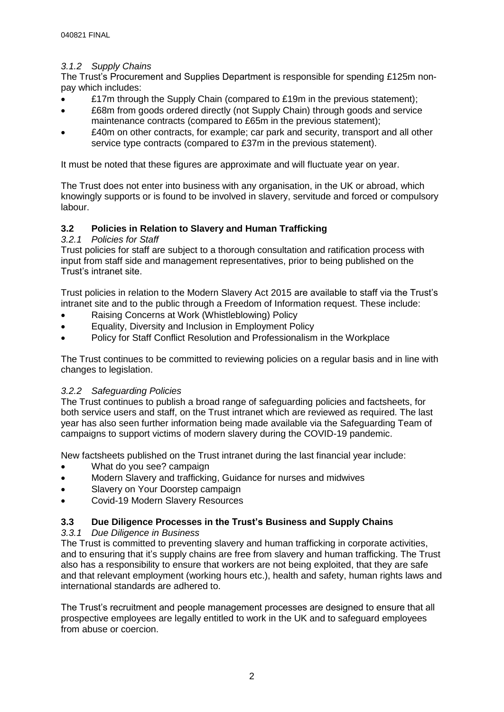### *3.1.2 Supply Chains*

The Trust's Procurement and Supplies Department is responsible for spending £125m nonpay which includes:

- £17m through the Supply Chain (compared to £19m in the previous statement);
- £68m from goods ordered directly (not Supply Chain) through goods and service maintenance contracts (compared to £65m in the previous statement);
- £40m on other contracts, for example; car park and security, transport and all other service type contracts (compared to £37m in the previous statement).

It must be noted that these figures are approximate and will fluctuate year on year.

The Trust does not enter into business with any organisation, in the UK or abroad, which knowingly supports or is found to be involved in slavery, servitude and forced or compulsory labour.

# **3.2 Policies in Relation to Slavery and Human Trafficking**

### *3.2.1 Policies for Staff*

Trust policies for staff are subject to a thorough consultation and ratification process with input from staff side and management representatives, prior to being published on the Trust's intranet site.

Trust policies in relation to the Modern Slavery Act 2015 are available to staff via the Trust's intranet site and to the public through a Freedom of Information request. These include:

- Raising Concerns at Work (Whistleblowing) Policy
- Equality, Diversity and Inclusion in Employment Policy
- Policy for Staff Conflict Resolution and Professionalism in the Workplace

The Trust continues to be committed to reviewing policies on a regular basis and in line with changes to legislation.

### *3.2.2 Safeguarding Policies*

The Trust continues to publish a broad range of safeguarding policies and factsheets, for both service users and staff, on the Trust intranet which are reviewed as required. The last year has also seen further information being made available via the Safeguarding Team of campaigns to support victims of modern slavery during the COVID-19 pandemic.

New factsheets published on the Trust intranet during the last financial year include:

- What do you see? campaign
- Modern Slavery and trafficking, Guidance for nurses and midwives
- Slavery on Your Doorstep campaign
- Covid-19 Modern Slavery Resources

### **3.3 Due Diligence Processes in the Trust's Business and Supply Chains**

### *3.3.1 Due Diligence in Business*

The Trust is committed to preventing slavery and human trafficking in corporate activities, and to ensuring that it's supply chains are free from slavery and human trafficking. The Trust also has a responsibility to ensure that workers are not being exploited, that they are safe and that relevant employment (working hours etc.), health and safety, human rights laws and international standards are adhered to.

The Trust's recruitment and people management processes are designed to ensure that all prospective employees are legally entitled to work in the UK and to safeguard employees from abuse or coercion.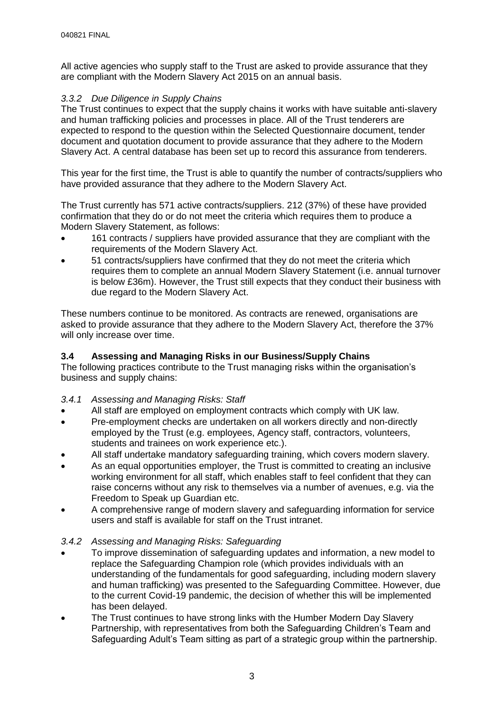All active agencies who supply staff to the Trust are asked to provide assurance that they are compliant with the Modern Slavery Act 2015 on an annual basis.

### *3.3.2 Due Diligence in Supply Chains*

The Trust continues to expect that the supply chains it works with have suitable anti-slavery and human trafficking policies and processes in place. All of the Trust tenderers are expected to respond to the question within the Selected Questionnaire document, tender document and quotation document to provide assurance that they adhere to the Modern Slavery Act. A central database has been set up to record this assurance from tenderers.

This year for the first time, the Trust is able to quantify the number of contracts/suppliers who have provided assurance that they adhere to the Modern Slavery Act.

The Trust currently has 571 active contracts/suppliers. 212 (37%) of these have provided confirmation that they do or do not meet the criteria which requires them to produce a Modern Slavery Statement, as follows:

- 161 contracts / suppliers have provided assurance that they are compliant with the requirements of the Modern Slavery Act.
- 51 contracts/suppliers have confirmed that they do not meet the criteria which requires them to complete an annual Modern Slavery Statement (i.e. annual turnover is below £36m). However, the Trust still expects that they conduct their business with due regard to the Modern Slavery Act.

These numbers continue to be monitored. As contracts are renewed, organisations are asked to provide assurance that they adhere to the Modern Slavery Act, therefore the 37% will only increase over time.

### **3.4 Assessing and Managing Risks in our Business/Supply Chains**

The following practices contribute to the Trust managing risks within the organisation's business and supply chains:

### *3.4.1 Assessing and Managing Risks: Staff*

- All staff are employed on employment contracts which comply with UK law.
- Pre-employment checks are undertaken on all workers directly and non-directly employed by the Trust (e.g. employees, Agency staff, contractors, volunteers, students and trainees on work experience etc.).
- All staff undertake mandatory safeguarding training, which covers modern slavery.
- As an equal opportunities employer, the Trust is committed to creating an inclusive working environment for all staff, which enables staff to feel confident that they can raise concerns without any risk to themselves via a number of avenues, e.g. via the Freedom to Speak up Guardian etc.
- A comprehensive range of modern slavery and safeguarding information for service users and staff is available for staff on the Trust intranet.

### *3.4.2 Assessing and Managing Risks: Safeguarding*

- To improve dissemination of safeguarding updates and information, a new model to replace the Safeguarding Champion role (which provides individuals with an understanding of the fundamentals for good safeguarding, including modern slavery and human trafficking) was presented to the Safeguarding Committee. However, due to the current Covid-19 pandemic, the decision of whether this will be implemented has been delayed.
- The Trust continues to have strong links with the Humber Modern Day Slavery Partnership, with representatives from both the Safeguarding Children's Team and Safeguarding Adult's Team sitting as part of a strategic group within the partnership.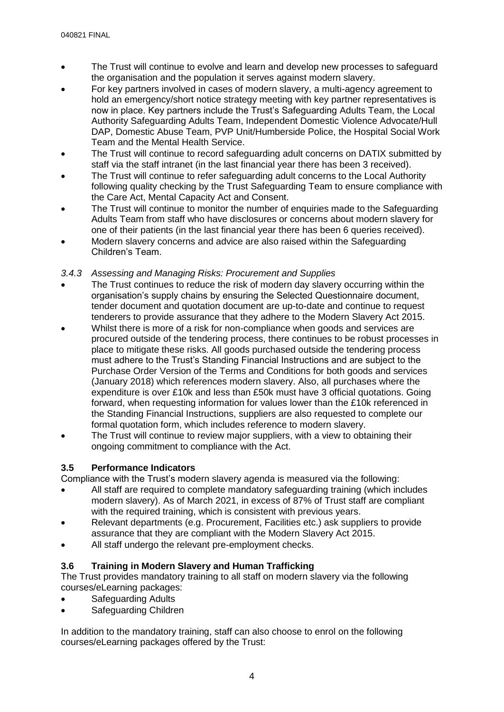- The Trust will continue to evolve and learn and develop new processes to safeguard the organisation and the population it serves against modern slavery.
- For key partners involved in cases of modern slavery, a multi-agency agreement to hold an emergency/short notice strategy meeting with key partner representatives is now in place. Key partners include the Trust's Safeguarding Adults Team, the Local Authority Safeguarding Adults Team, Independent Domestic Violence Advocate/Hull DAP, Domestic Abuse Team, PVP Unit/Humberside Police, the Hospital Social Work Team and the Mental Health Service.
- The Trust will continue to record safeguarding adult concerns on DATIX submitted by staff via the staff intranet (in the last financial year there has been 3 received).
- The Trust will continue to refer safeguarding adult concerns to the Local Authority following quality checking by the Trust Safeguarding Team to ensure compliance with the Care Act, Mental Capacity Act and Consent.
- The Trust will continue to monitor the number of enquiries made to the Safeguarding Adults Team from staff who have disclosures or concerns about modern slavery for one of their patients (in the last financial year there has been 6 queries received).
- Modern slavery concerns and advice are also raised within the Safeguarding Children's Team.

### *3.4.3 Assessing and Managing Risks: Procurement and Supplies*

- The Trust continues to reduce the risk of modern day slavery occurring within the organisation's supply chains by ensuring the Selected Questionnaire document, tender document and quotation document are up-to-date and continue to request tenderers to provide assurance that they adhere to the Modern Slavery Act 2015.
- Whilst there is more of a risk for non-compliance when goods and services are procured outside of the tendering process, there continues to be robust processes in place to mitigate these risks. All goods purchased outside the tendering process must adhere to the Trust's Standing Financial Instructions and are subject to the Purchase Order Version of the Terms and Conditions for both goods and services (January 2018) which references modern slavery. Also, all purchases where the expenditure is over £10k and less than £50k must have 3 official quotations. Going forward, when requesting information for values lower than the £10k referenced in the Standing Financial Instructions, suppliers are also requested to complete our formal quotation form, which includes reference to modern slavery.
- The Trust will continue to review major suppliers, with a view to obtaining their ongoing commitment to compliance with the Act.

# **3.5 Performance Indicators**

Compliance with the Trust's modern slavery agenda is measured via the following:

- All staff are required to complete mandatory safeguarding training (which includes modern slavery). As of March 2021, in excess of 87% of Trust staff are compliant with the required training, which is consistent with previous years.
- Relevant departments (e.g. Procurement, Facilities etc.) ask suppliers to provide assurance that they are compliant with the Modern Slavery Act 2015.
- All staff undergo the relevant pre-employment checks.

# **3.6 Training in Modern Slavery and Human Trafficking**

The Trust provides mandatory training to all staff on modern slavery via the following courses/eLearning packages:

- Safeguarding Adults
- Safeguarding Children

In addition to the mandatory training, staff can also choose to enrol on the following courses/eLearning packages offered by the Trust: